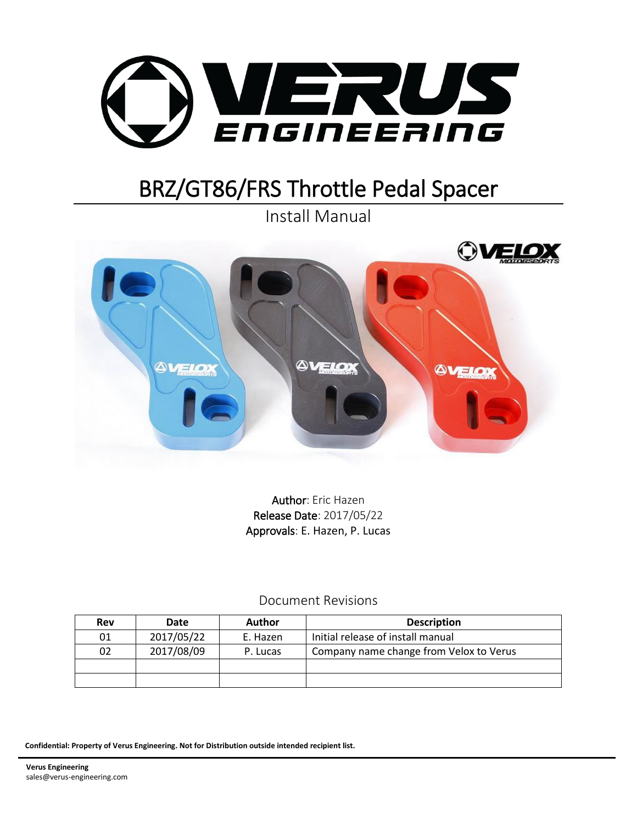

# BRZ/GT86/FRS Throttle Pedal Spacer

Install Manual



Author: Eric Hazen Release Date: 2017/05/22 Approvals: E. Hazen, P. Lucas

Document Revisions

| Rev | Date       | Author   | <b>Description</b>                      |  |
|-----|------------|----------|-----------------------------------------|--|
| 01  | 2017/05/22 | E. Hazen | Initial release of install manual       |  |
| 02  | 2017/08/09 | P. Lucas | Company name change from Velox to Verus |  |
|     |            |          |                                         |  |
|     |            |          |                                         |  |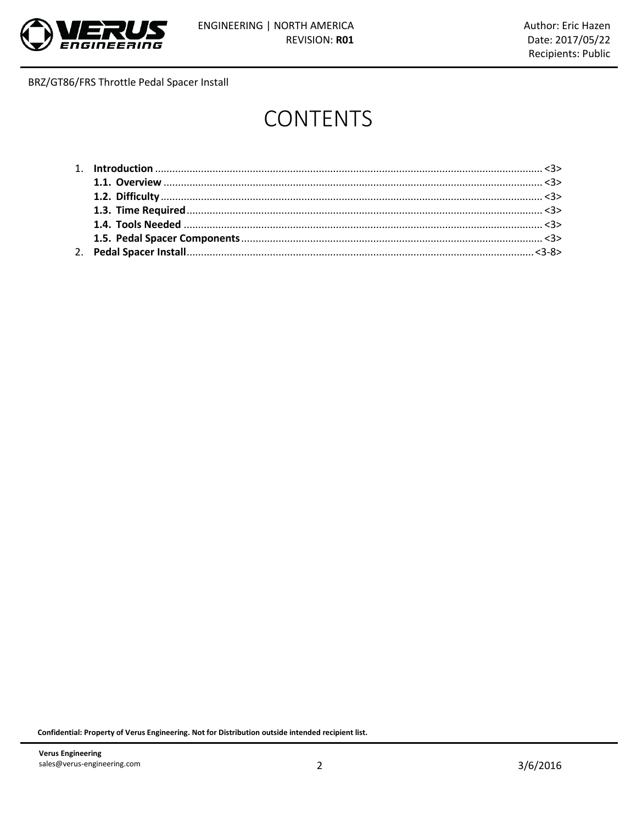

# **CONTENTS**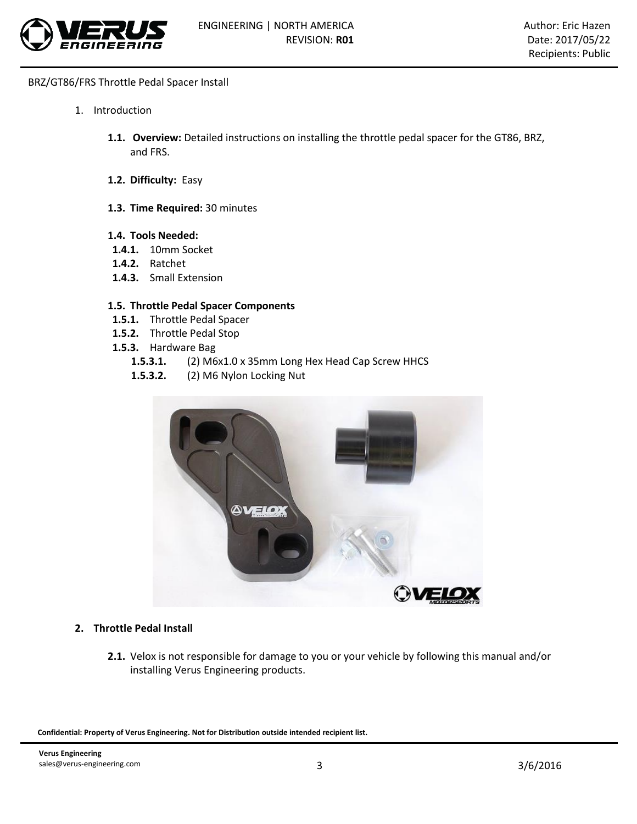

- 1. Introduction
	- **1.1. Overview:** Detailed instructions on installing the throttle pedal spacer for the GT86, BRZ, and FRS.
	- **1.2. Difficulty:** Easy
	- **1.3. Time Required:** 30 minutes

#### **1.4. Tools Needed:**

- **1.4.1.** 10mm Socket
- **1.4.2.** Ratchet
- **1.4.3.** Small Extension

### **1.5. Throttle Pedal Spacer Components**

- **1.5.1.** Throttle Pedal Spacer
- **1.5.2.** Throttle Pedal Stop
- **1.5.3.** Hardware Bag
	- **1.5.3.1.** (2) M6x1.0 x 35mm Long Hex Head Cap Screw HHCS
	- **1.5.3.2.** (2) M6 Nylon Locking Nut



#### **2. Throttle Pedal Install**

**2.1.** Velox is not responsible for damage to you or your vehicle by following this manual and/or installing Verus Engineering products.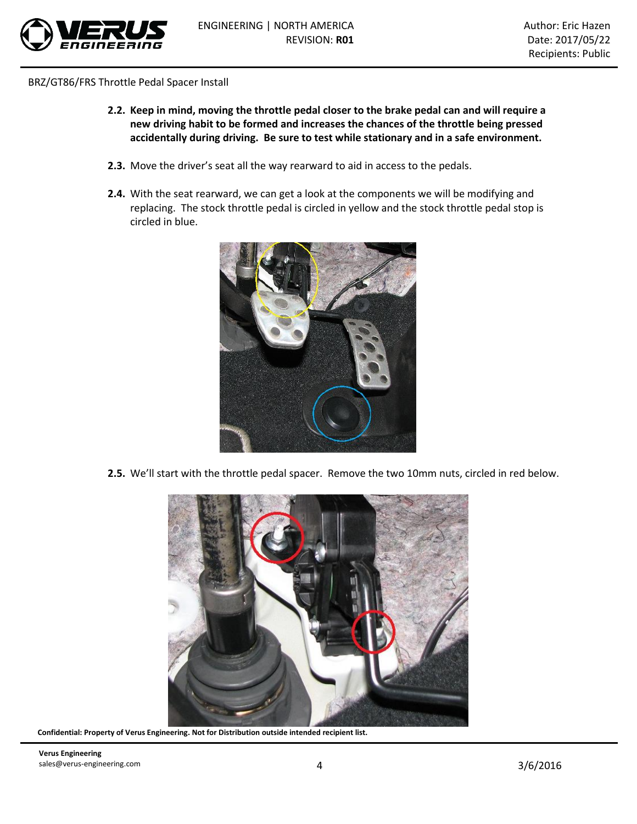

- **2.2. Keep in mind, moving the throttle pedal closer to the brake pedal can and will require a new driving habit to be formed and increases the chances of the throttle being pressed accidentally during driving. Be sure to test while stationary and in a safe environment.**
- **2.3.** Move the driver's seat all the way rearward to aid in access to the pedals.
- **2.4.** With the seat rearward, we can get a look at the components we will be modifying and replacing. The stock throttle pedal is circled in yellow and the stock throttle pedal stop is circled in blue.



**2.5.** We'll start with the throttle pedal spacer. Remove the two 10mm nuts, circled in red below.



**Confidential: Property of Verus Engineering. Not for Distribution outside intended recipient list.**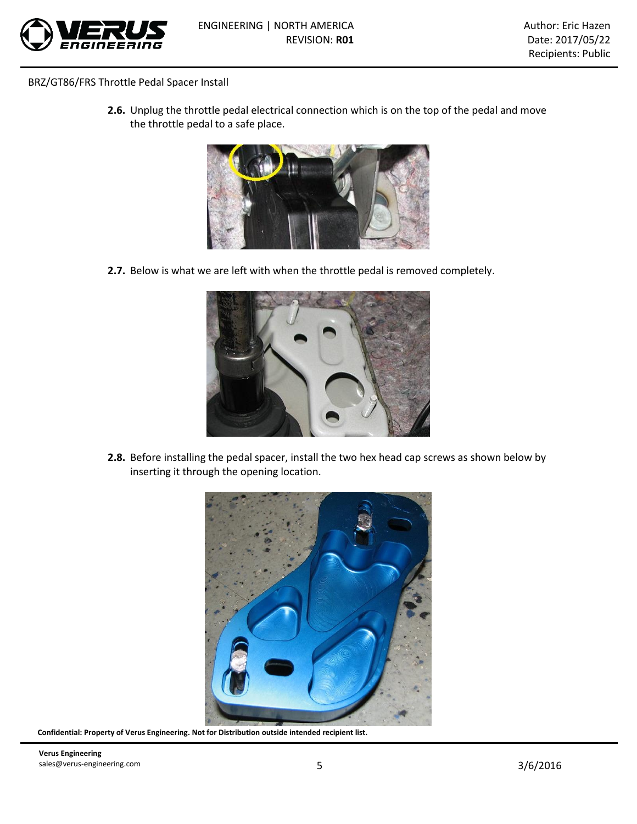

**2.6.** Unplug the throttle pedal electrical connection which is on the top of the pedal and move the throttle pedal to a safe place.



**2.7.** Below is what we are left with when the throttle pedal is removed completely.



**2.8.** Before installing the pedal spacer, install the two hex head cap screws as shown below by inserting it through the opening location.



**Confidential: Property of Verus Engineering. Not for Distribution outside intended recipient list.**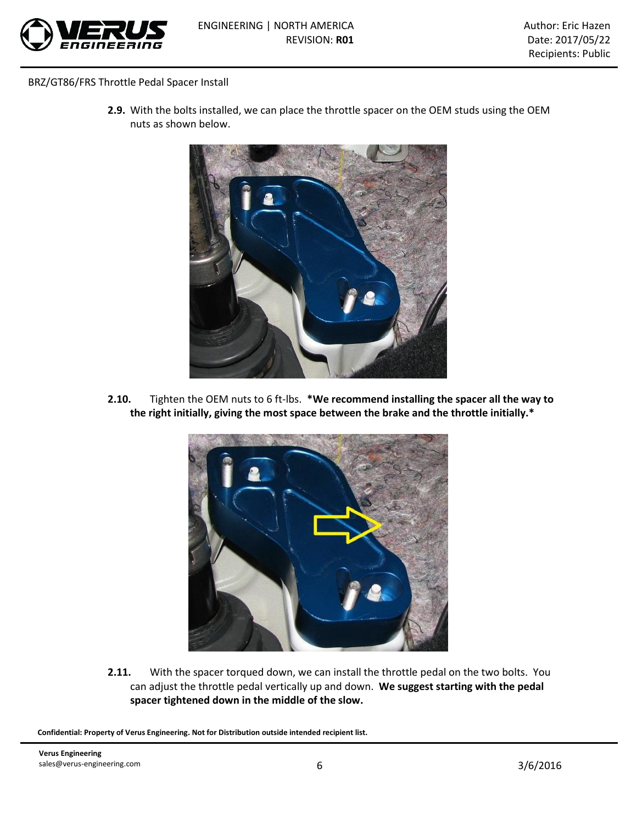

**2.9.** With the bolts installed, we can place the throttle spacer on the OEM studs using the OEM nuts as shown below.



**2.10.** Tighten the OEM nuts to 6 ft-lbs. **\*We recommend installing the spacer all the way to the right initially, giving the most space between the brake and the throttle initially.\***



**2.11.** With the spacer torqued down, we can install the throttle pedal on the two bolts. You can adjust the throttle pedal vertically up and down. **We suggest starting with the pedal spacer tightened down in the middle of the slow.**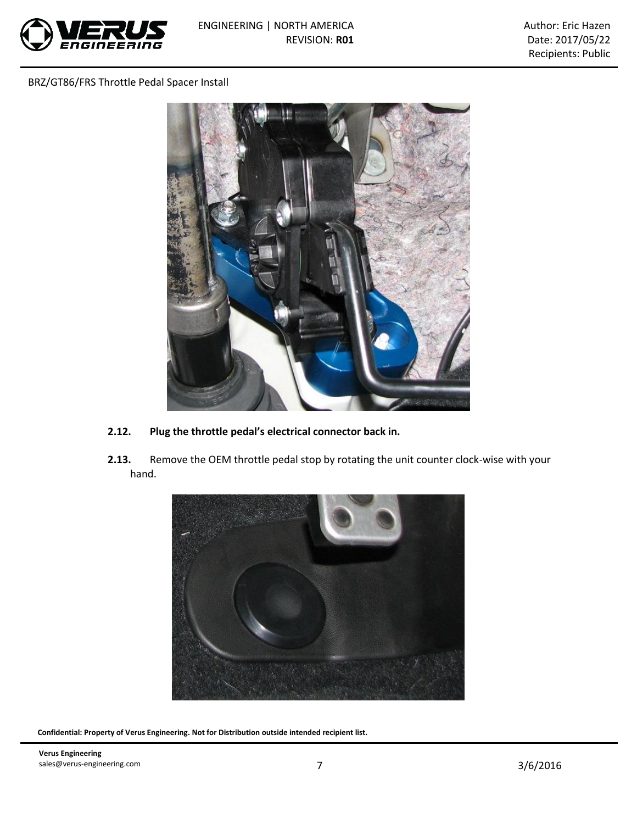



- **2.12. Plug the throttle pedal's electrical connector back in.**
- **2.13.** Remove the OEM throttle pedal stop by rotating the unit counter clock-wise with your hand.